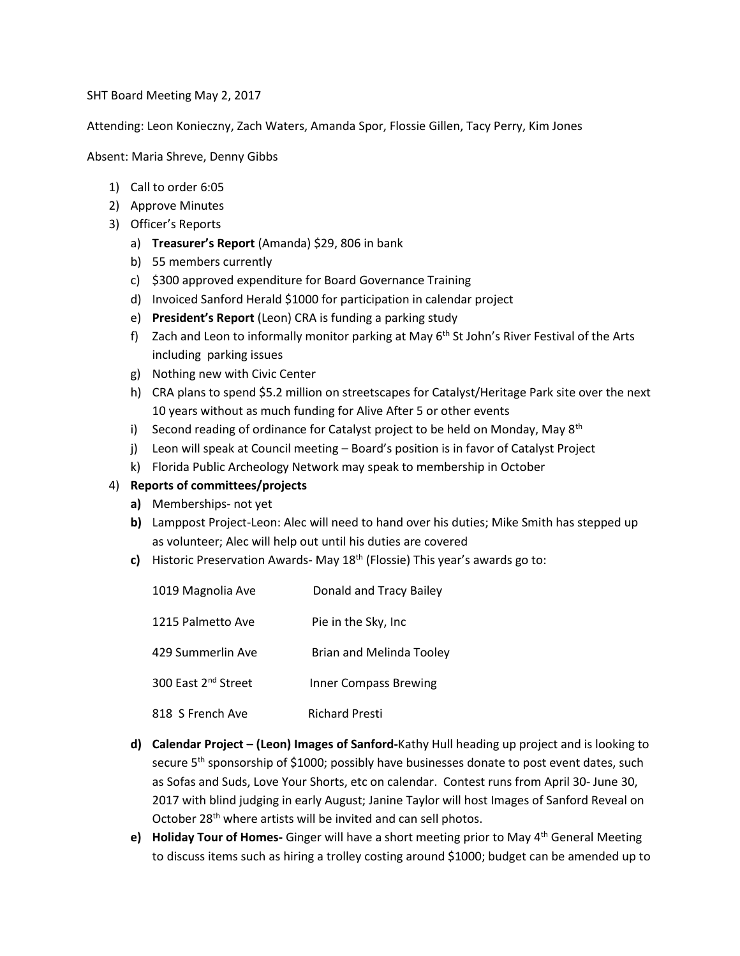SHT Board Meeting May 2, 2017

Attending: Leon Konieczny, Zach Waters, Amanda Spor, Flossie Gillen, Tacy Perry, Kim Jones

Absent: Maria Shreve, Denny Gibbs

- 1) Call to order 6:05
- 2) Approve Minutes
- 3) Officer's Reports
	- a) **Treasurer's Report** (Amanda) \$29, 806 in bank
	- b) 55 members currently
	- c) \$300 approved expenditure for Board Governance Training
	- d) Invoiced Sanford Herald \$1000 for participation in calendar project
	- e) **President's Report** (Leon) CRA is funding a parking study
	- f) Zach and Leon to informally monitor parking at May  $6<sup>th</sup>$  St John's River Festival of the Arts including parking issues
	- g) Nothing new with Civic Center
	- h) CRA plans to spend \$5.2 million on streetscapes for Catalyst/Heritage Park site over the next 10 years without as much funding for Alive After 5 or other events
	- i) Second reading of ordinance for Catalyst project to be held on Monday, May  $8^{th}$
	- j) Leon will speak at Council meeting Board's position is in favor of Catalyst Project
	- k) Florida Public Archeology Network may speak to membership in October

## 4) **Reports of committees/projects**

- **a)** Memberships- not yet
- **b)** Lamppost Project-Leon: Alec will need to hand over his duties; Mike Smith has stepped up as volunteer; Alec will help out until his duties are covered
- **c)** Historic Preservation Awards- May 18th (Flossie) This year's awards go to:

| 1019 Magnolia Ave               | Donald and Tracy Bailey      |
|---------------------------------|------------------------------|
| 1215 Palmetto Ave               | Pie in the Sky, Inc          |
| 429 Summerlin Ave               | Brian and Melinda Tooley     |
| 300 East 2 <sup>nd</sup> Street | <b>Inner Compass Brewing</b> |
| 818 S French Ave                | <b>Richard Presti</b>        |

- **d) Calendar Project – (Leon) Images of Sanford-**Kathy Hull heading up project and is looking to secure  $5<sup>th</sup>$  sponsorship of \$1000; possibly have businesses donate to post event dates, such as Sofas and Suds, Love Your Shorts, etc on calendar. Contest runs from April 30- June 30, 2017 with blind judging in early August; Janine Taylor will host Images of Sanford Reveal on October 28<sup>th</sup> where artists will be invited and can sell photos.
- **e) Holiday Tour of Homes-** Ginger will have a short meeting prior to May 4th General Meeting to discuss items such as hiring a trolley costing around \$1000; budget can be amended up to